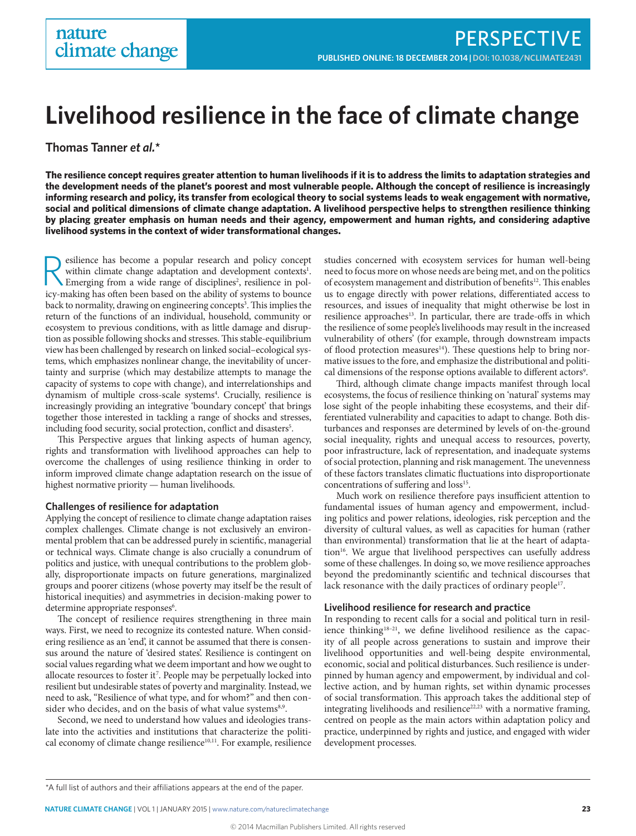# **Livelihood resilience in the face of climate change**

**Thomas Tanner** *et al.***\***

**The resilience concept requires greater attention to human livelihoods if it is to address the limits to adaptation strategies and the development needs of the planet's poorest and most vulnerable people. Although the concept of resilience is increasingly informing research and policy, its transfer from ecological theory to social systems leads to weak engagement with normative, social and political dimensions of climate change adaptation. A livelihood perspective helps to strengthen resilience thinking by placing greater emphasis on human needs and their agency, empowerment and human rights, and considering adaptive livelihood systems in the context of wider transformational changes.**

**Example 18 Secome a popular research and policy concept** within climate change adaptation and development contexts<sup>1</sup>. Emerging from a wide range of disciplines<sup>2</sup>, resilience in policy making has often been beend on the within climate change adaptation and development contexts<sup>1</sup>. icy-making has often been based on the ability of systems to bounce back to normality, drawing on engineering concepts<sup>3</sup>. This implies the return of the functions of an individual, household, community or ecosystem to previous conditions, with as little damage and disruption as possible following shocks and stresses. This stable-equilibrium view has been challenged by research on linked social–ecological systems, which emphasizes nonlinear change, the inevitability of uncertainty and surprise (which may destabilize attempts to manage the capacity of systems to cope with change), and interrelationships and dynamism of multiple cross-scale systems<sup>4</sup>. Crucially, resilience is increasingly providing an integrative 'boundary concept' that brings together those interested in tackling a range of shocks and stresses, including food security, social protection, conflict and disasters<sup>5</sup>.

This Perspective argues that linking aspects of human agency, rights and transformation with livelihood approaches can help to overcome the challenges of using resilience thinking in order to inform improved climate change adaptation research on the issue of highest normative priority — human livelihoods.

#### **Challenges of resilience for adaptation**

Applying the concept of resilience to climate change adaptation raises complex challenges. Climate change is not exclusively an environmental problem that can be addressed purely in scientific, managerial or technical ways. Climate change is also crucially a conundrum of politics and justice, with unequal contributions to the problem globally, disproportionate impacts on future generations, marginalized groups and poorer citizens (whose poverty may itself be the result of historical inequities) and asymmetries in decision-making power to determine appropriate responses<sup>6</sup>.

The concept of resilience requires strengthening in three main ways. First, we need to recognize its contested nature. When considering resilience as an 'end', it cannot be assumed that there is consensus around the nature of 'desired states'. Resilience is contingent on social values regarding what we deem important and how we ought to allocate resources to foster it<sup>7</sup>. People may be perpetually locked into resilient but undesirable states of poverty and marginality. Instead, we need to ask, "Resilience of what type, and for whom?" and then consider who decides, and on the basis of what value systems<sup>8,9</sup>.

Second, we need to understand how values and ideologies translate into the activities and institutions that characterize the political economy of climate change resilience<sup>10,11</sup>. For example, resilience studies concerned with ecosystem services for human well-being need to focus more on whose needs are being met, and on the politics of ecosystem management and distribution of benefits<sup>12</sup>. This enables us to engage directly with power relations, differentiated access to resources, and issues of inequality that might otherwise be lost in resilience approaches<sup>13</sup>. In particular, there are trade-offs in which the resilience of some people's livelihoods may result in the increased vulnerability of others' (for example, through downstream impacts of flood protection measures $14$ ). These questions help to bring normative issues to the fore, and emphasize the distributional and political dimensions of the response options available to different actors<sup>9</sup>.

Third, although climate change impacts manifest through local ecosystems, the focus of resilience thinking on 'natural' systems may lose sight of the people inhabiting these ecosystems, and their differentiated vulnerability and capacities to adapt to change. Both disturbances and responses are determined by levels of on-the-ground social inequality, rights and unequal access to resources, poverty, poor infrastructure, lack of representation, and inadequate systems of social protection, planning and risk management. The unevenness of these factors translates climatic fluctuations into disproportionate concentrations of suffering and loss<sup>15</sup>.

Much work on resilience therefore pays insufficient attention to fundamental issues of human agency and empowerment, including politics and power relations, ideologies, risk perception and the diversity of cultural values, as well as capacities for human (rather than environmental) transformation that lie at the heart of adaptation<sup>16</sup>. We argue that livelihood perspectives can usefully address some of these challenges. In doing so, we move resilience approaches beyond the predominantly scientific and technical discourses that lack resonance with the daily practices of ordinary people<sup>17</sup>.

### **Livelihood resilience for research and practice**

In responding to recent calls for a social and political turn in resilience thinking<sup>18-21</sup>, we define livelihood resilience as the capacity of all people across generations to sustain and improve their livelihood opportunities and well-being despite environmental, economic, social and political disturbances. Such resilience is underpinned by human agency and empowerment, by individual and collective action, and by human rights, set within dynamic processes of social transformation. This approach takes the additional step of integrating livelihoods and resilience<sup>22,23</sup> with a normative framing, centred on people as the main actors within adaptation policy and practice, underpinned by rights and justice, and engaged with wider development processes.

<sup>\*</sup>A full list of authors and their affiliations appears at the end of the paper.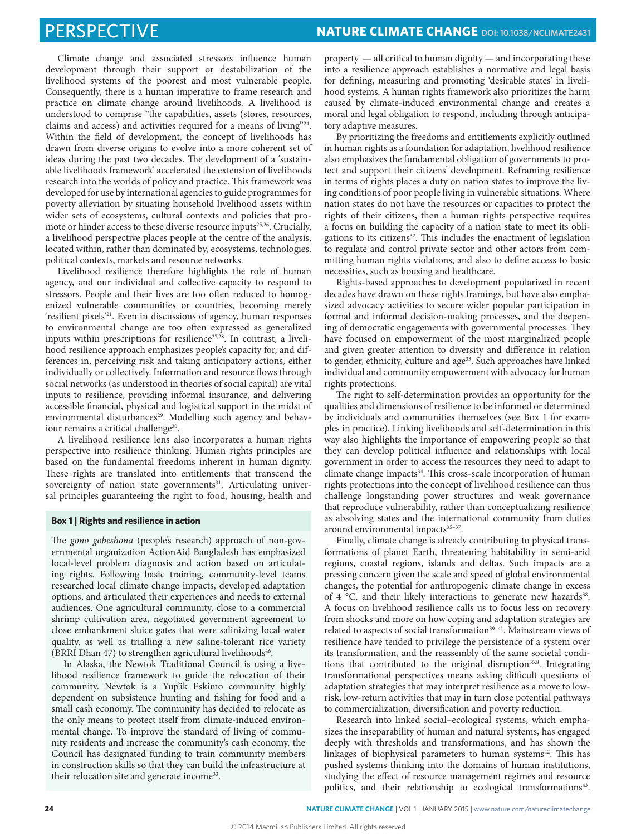Climate change and associated stressors influence human development through their support or destabilization of the livelihood systems of the poorest and most vulnerable people. Consequently, there is a human imperative to frame research and practice on climate change around livelihoods. A livelihood is understood to comprise "the capabilities, assets (stores, resources, claims and access) and activities required for a means of living"24. Within the field of development, the concept of livelihoods has drawn from diverse origins to evolve into a more coherent set of ideas during the past two decades. The development of a 'sustainable livelihoods framework' accelerated the extension of livelihoods research into the worlds of policy and practice. This framework was developed for use by international agencies to guide programmes for poverty alleviation by situating household livelihood assets within wider sets of ecosystems, cultural contexts and policies that promote or hinder access to these diverse resource inputs<sup>25,26</sup>. Crucially, a livelihood perspective places people at the centre of the analysis, located within, rather than dominated by, ecosystems, technologies, political contexts, markets and resource networks.

Livelihood resilience therefore highlights the role of human agency, and our individual and collective capacity to respond to stressors. People and their lives are too often reduced to homogenized vulnerable communities or countries, becoming merely 'resilient pixels'<sup>21</sup>. Even in discussions of agency, human responses to environmental change are too often expressed as generalized inputs within prescriptions for resilience<sup>27,28</sup>. In contrast, a livelihood resilience approach emphasizes people's capacity for, and differences in, perceiving risk and taking anticipatory actions, either individually or collectively. Information and resource flows through social networks (as understood in theories of social capital) are vital inputs to resilience, providing informal insurance, and delivering accessible financial, physical and logistical support in the midst of environmental disturbances<sup>29</sup>. Modelling such agency and behaviour remains a critical challenge<sup>30</sup>.

A livelihood resilience lens also incorporates a human rights perspective into resilience thinking. Human rights principles are based on the fundamental freedoms inherent in human dignity. These rights are translated into entitlements that transcend the sovereignty of nation state governments<sup>31</sup>. Articulating universal principles guaranteeing the right to food, housing, health and

#### **Box 1 | Rights and resilience in action**

The *gono gobeshona* (people's research) approach of non-governmental organization ActionAid Bangladesh has emphasized local-level problem diagnosis and action based on articulating rights. Following basic training, community-level teams researched local climate change impacts, developed adaptation options, and articulated their experiences and needs to external audiences. One agricultural community, close to a commercial shrimp cultivation area, negotiated government agreement to close embankment sluice gates that were salinizing local water quality, as well as trialling a new saline-tolerant rice variety (BRRI Dhan 47) to strengthen agricultural livelihoods<sup>46</sup>.

In Alaska, the Newtok Traditional Council is using a livelihood resilience framework to guide the relocation of their community. Newtok is a Yup'ik Eskimo community highly dependent on subsistence hunting and fishing for food and a small cash economy. The community has decided to relocate as the only means to protect itself from climate-induced environmental change. To improve the standard of living of community residents and increase the community's cash economy, the Council has designated funding to train community members in construction skills so that they can build the infrastructure at their relocation site and generate income<sup>33</sup>.

property — all critical to human dignity — and incorporating these into a resilience approach establishes a normative and legal basis for defining, measuring and promoting 'desirable states' in livelihood systems. A human rights framework also prioritizes the harm caused by climate-induced environmental change and creates a moral and legal obligation to respond, including through anticipatory adaptive measures.

By prioritizing the freedoms and entitlements explicitly outlined in human rights as a foundation for adaptation, livelihood resilience also emphasizes the fundamental obligation of governments to protect and support their citizens' development. Reframing resilience in terms of rights places a duty on nation states to improve the living conditions of poor people living in vulnerable situations. Where nation states do not have the resources or capacities to protect the rights of their citizens, then a human rights perspective requires a focus on building the capacity of a nation state to meet its obligations to its citizens<sup>32</sup>. This includes the enactment of legislation to regulate and control private sector and other actors from committing human rights violations, and also to define access to basic necessities, such as housing and healthcare.

Rights-based approaches to development popularized in recent decades have drawn on these rights framings, but have also emphasized advocacy activities to secure wider popular participation in formal and informal decision-making processes, and the deepening of democratic engagements with governmental processes. They have focused on empowerment of the most marginalized people and given greater attention to diversity and difference in relation to gender, ethnicity, culture and age<sup>33</sup>. Such approaches have linked individual and community empowerment with advocacy for human rights protections.

The right to self-determination provides an opportunity for the qualities and dimensions of resilience to be informed or determined by individuals and communities themselves (see Box 1 for examples in practice). Linking livelihoods and self-determination in this way also highlights the importance of empowering people so that they can develop political influence and relationships with local government in order to access the resources they need to adapt to climate change impacts<sup>34</sup>. This cross-scale incorporation of human rights protections into the concept of livelihood resilience can thus challenge longstanding power structures and weak governance that reproduce vulnerability, rather than conceptualizing resilience as absolving states and the international community from duties around environmental impacts<sup>35-37</sup>.

Finally, climate change is already contributing to physical transformations of planet Earth, threatening habitability in semi-arid regions, coastal regions, islands and deltas. Such impacts are a pressing concern given the scale and speed of global environmental changes, the potential for anthropogenic climate change in excess of  $4^{\circ}$ C, and their likely interactions to generate new hazards<sup>38</sup>. A focus on livelihood resilience calls us to focus less on recovery from shocks and more on how coping and adaptation strategies are related to aspects of social transformation<sup>39-41</sup>. Mainstream views of resilience have tended to privilege the persistence of a system over its transformation, and the reassembly of the same societal conditions that contributed to the original disruption<sup>35,8</sup>. Integrating transformational perspectives means asking difficult questions of adaptation strategies that may interpret resilience as a move to lowrisk, low-return activities that may in turn close potential pathways to commercialization, diversification and poverty reduction.

Research into linked social–ecological systems, which emphasizes the inseparability of human and natural systems, has engaged deeply with thresholds and transformations, and has shown the linkages of biophysical parameters to human systems<sup>42</sup>. This has pushed systems thinking into the domains of human institutions, studying the effect of resource management regimes and resource politics, and their relationship to ecological transformations<sup>43</sup>.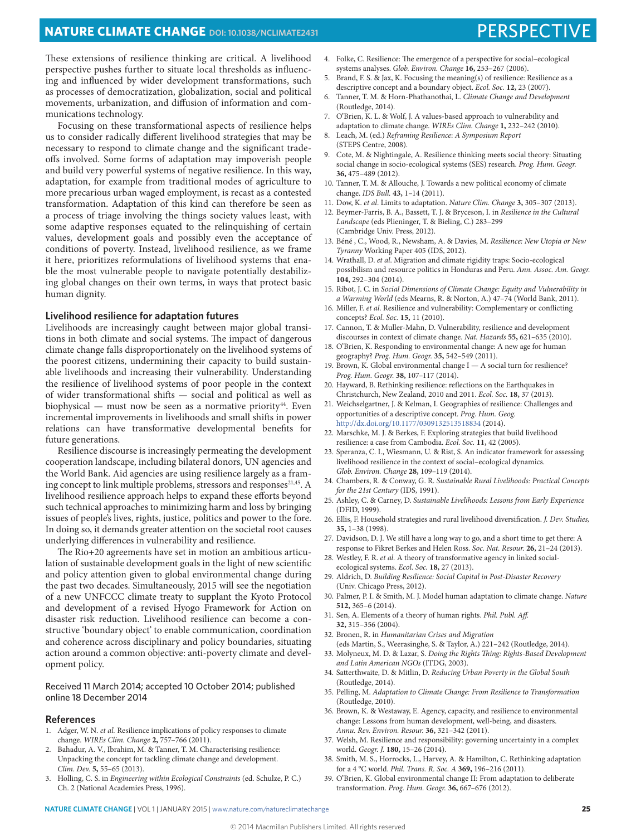These extensions of resilience thinking are critical. A livelihood perspective pushes further to situate local thresholds as influencing and influenced by wider development transformations, such as processes of democratization, globalization, social and political movements, urbanization, and diffusion of information and communications technology.

Focusing on these transformational aspects of resilience helps us to consider radically different livelihood strategies that may be necessary to respond to climate change and the significant tradeoffs involved. Some forms of adaptation may impoverish people and build very powerful systems of negative resilience. In this way, adaptation, for example from traditional modes of agriculture to more precarious urban waged employment, is recast as a contested transformation. Adaptation of this kind can therefore be seen as a process of triage involving the things society values least, with some adaptive responses equated to the relinquishing of certain values, development goals and possibly even the acceptance of conditions of poverty. Instead, livelihood resilience, as we frame it here, prioritizes reformulations of livelihood systems that enable the most vulnerable people to navigate potentially destabilizing global changes on their own terms, in ways that protect basic human dignity.

#### **Livelihood resilience for adaptation futures**

Livelihoods are increasingly caught between major global transitions in both climate and social systems. The impact of dangerous climate change falls disproportionately on the livelihood systems of the poorest citizens, undermining their capacity to build sustainable livelihoods and increasing their vulnerability. Understanding the resilience of livelihood systems of poor people in the context of wider transformational shifts — social and political as well as biophysical — must now be seen as a normative priority<sup>44</sup>. Even incremental improvements in livelihoods and small shifts in power relations can have transformative developmental benefits for future generations.

Resilience discourse is increasingly permeating the development cooperation landscape, including bilateral donors, UN agencies and the World Bank. Aid agencies are using resilience largely as a framing concept to link multiple problems, stressors and responses $21,45$ . A livelihood resilience approach helps to expand these efforts beyond such technical approaches to minimizing harm and loss by bringing issues of people's lives, rights, justice, politics and power to the fore. In doing so, it demands greater attention on the societal root causes underlying differences in vulnerability and resilience.

The Rio+20 agreements have set in motion an ambitious articulation of sustainable development goals in the light of new scientific and policy attention given to global environmental change during the past two decades. Simultaneously, 2015 will see the negotiation of a new UNFCCC climate treaty to supplant the Kyoto Protocol and development of a revised Hyogo Framework for Action on disaster risk reduction. Livelihood resilience can become a constructive 'boundary object' to enable communication, coordination and coherence across disciplinary and policy boundaries, situating action around a common objective: anti-poverty climate and development policy.

Received 11 March 2014; accepted 10 October 2014; published online 18 December 2014

#### **References**

- 1. Adger, W. N. *et al.* Resilience implications of policy responses to climate change. *WIREs Clim. Change* **2,** 757–766 (2011).
- 2. Bahadur, A. V., Ibrahim, M. & Tanner, T. M. Characterising resilience: Unpacking the concept for tackling climate change and development. *Clim. Dev.* **5,** 55–65 (2013).
- 3. Holling, C. S. in *Engineering within Ecological Constraints* (ed. Schulze, P. C.) Ch. 2 (National Academies Press, 1996).
- 4. Folke, C. Resilience: The emergence of a perspective for social–ecological systems analyses. *Glob. Environ. Change* **16,** 253–267 (2006).
- Brand, F. S. & Jax, K. Focusing the meaning(s) of resilience: Resilience as a descriptive concept and a boundary object. *Ecol. Soc.* **12,** 23 (2007).
- 6. Tanner, T. M. & Horn-Phathanothai, L. *Climate Change and Development*  (Routledge, 2014).
- 7. O'Brien, K. L. & Wolf, J. A values-based approach to vulnerability and adaptation to climate change. *WIREs Clim. Change* **1,** 232–242 (2010).
- 8. Leach, M. (ed.) *Reframing Resilience*: *A Symposium Report* (STEPS Centre, 2008).
- 9. Cote, M. & Nightingale, A. Resilience thinking meets social theory: Situating social change in socio-ecological systems (SES) research. *Prog. Hum. Geogr.*  **36,** 475–489 (2012).
- 10. Tanner, T. M. & Allouche, J. Towards a new political economy of climate change. *IDS Bull.* **43,** 1–14 (2011).
- 11. Dow, K. *et al*. Limits to adaptation. *Nature Clim. Change* **3,** 305–307 (2013).
- 12. Beymer-Farris, B. A., Bassett, T. J. & Bryceson, I. in *Resilience in the Cultural Landscape* (eds Plieninger, T. & Bieling, C.) 283–299 (Cambridge Univ. Press, 2012).
- 13. Béné , C., Wood, R., Newsham, A. & Davies, M. *Resilience: New Utopia or New Tyranny* Working Paper 405 (IDS, 2012).
- 14. Wrathall, D. *et al*. Migration and climate rigidity traps: Socio-ecological possibilism and resource politics in Honduras and Peru. *Ann. Assoc. Am. Geogr.*  **104,** 292–304 (2014).
- 15. Ribot, J. C. in *Social Dimensions of Climate Change: Equity and Vulnerability in a Warming World* (eds Mearns, R. & Norton, A.) 47–74 (World Bank, 2011).
- 16. Miller, F. *et al*. Resilience and vulnerability: Complementary or conflicting concepts? *Ecol. Soc.* **15,** 11 (2010).
- 17. Cannon, T. & Muller-Mahn, D. Vulnerability, resilience and development discourses in context of climate change. *Nat. Hazards* **55,** 621–635 (2010).
- 18. O'Brien, K. Responding to environmental change: A new age for human geography? *Prog. Hum. Geogr.* **35,** 542–549 (2011).
- 19. Brown, K. Global environmental change I A social turn for resilience? *Prog. Hum. Geogr.* **38,** 107–117 (2014).
- 20. Hayward, B. Rethinking resilience: reflections on the Earthquakes in Christchurch, New Zealand, 2010 and 2011. *Ecol. Soc.* **18,** 37 (2013).
- 21. Weichselgartner, J. & Kelman, I. Geographies of resilience: Challenges and opportunities of a descriptive concept. *Prog. Hum. Geog.* <http://dx.doi.org/10.1177/0309132513518834> (2014).
- 22. Marschke, M. J. & Berkes, F. Exploring strategies that build livelihood resilience: a case from Cambodia. *Ecol. Soc.* **11,** 42 (2005).
- 23. Speranza, C. I., Wiesmann, U. & Rist, S. An indicator framework for assessing livelihood resilience in the context of social–ecological dynamics. *Glob. Environ. Change* **28,** 109–119 (2014).
- 24. Chambers, R. & Conway, G. R. *Sustainable Rural Livelihoods: Practical Concepts for the 21st Century* (IDS, 1991).
- 25. Ashley, C. & Carney, D. *Sustainable Livelihoods: Lessons from Early Experience* (DFID, 1999).
- 26. Ellis, F. Household strategies and rural livelihood diversification. *J. Dev. Studies,*  **35,** 1–38 (1998).
- 27. Davidson, D. J. We still have a long way to go, and a short time to get there: A response to Fikret Berkes and Helen Ross. *Soc. Nat. Resour.* **26,** 21–24 (2013).
- 28. Westley, F. R. *et al.* A theory of transformative agency in linked socialecological systems. *Ecol. Soc.* **18,** 27 (2013).
- 29. Aldrich, D. *Building Resilience: Social Capital in Post-Disaster Recovery* (Univ. Chicago Press, 2012).
- 30. Palmer, P. I. & Smith, M. J. Model human adaptation to climate change. *Nature* **512,** 365–6 (2014).
- 31. Sen, A. Elements of a theory of human rights. *Phil. Publ. Aff.* **32,** 315–356 (2004).
- 32. Bronen, R. in *Humanitarian Crises and Migration*
- (eds Martin, S., Weerasinghe, S. & Taylor, A.) 221–242 (Routledge, 2014). 33. Molyneux, M. D. & Lazar, S. *Doing the Rights Thing: Rights-Based Development*
- *and Latin American NGOs* (ITDG, 2003). 34. Satterthwaite, D. & Mitlin, D. *Reducing Urban Poverty in the Global South*
- (Routledge, 2014). 35. Pelling, M. *Adaptation to Climate Change: From Resilience to Transformation*
- (Routledge, 2010). 36. Brown, K. & Westaway, E. Agency, capacity, and resilience to environmental change: Lessons from human development, well-being, and disasters. *Annu. Rev. Environ. Resour.* **36,** 321–342 (2011).
- 37. Welsh, M. Resilience and responsibility: governing uncertainty in a complex world. *Geogr. J.* **180,** 15–26 (2014).
- 38. Smith, M. S., Horrocks, L., Harvey, A. & Hamilton, C. Rethinking adaptation for a 4 °C world. *Phil. Trans. R. Soc. A* **369,** 196–216 (2011).
- 39. O'Brien, K. Global environmental change II: From adaptation to deliberate transformation. *Prog. Hum. Geogr.* **36,** 667–676 (2012).